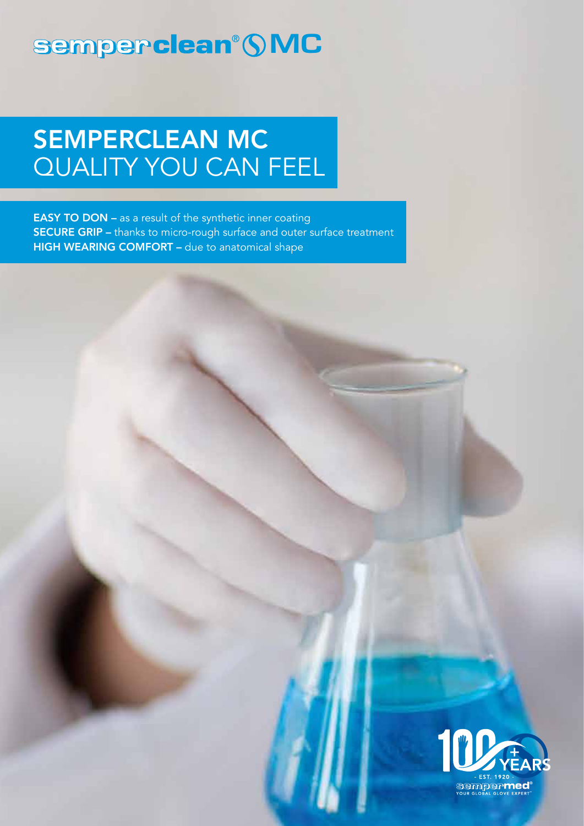# semperclean® **SMC**

# SEMPERCLEAN MC QUALITY YOU CAN FEEL

**EASY TO DON** – as a result of the synthetic inner coating SECURE GRIP – thanks to micro-rough surface and outer surface treatment HIGH WEARING COMFORT - due to anatomical shape